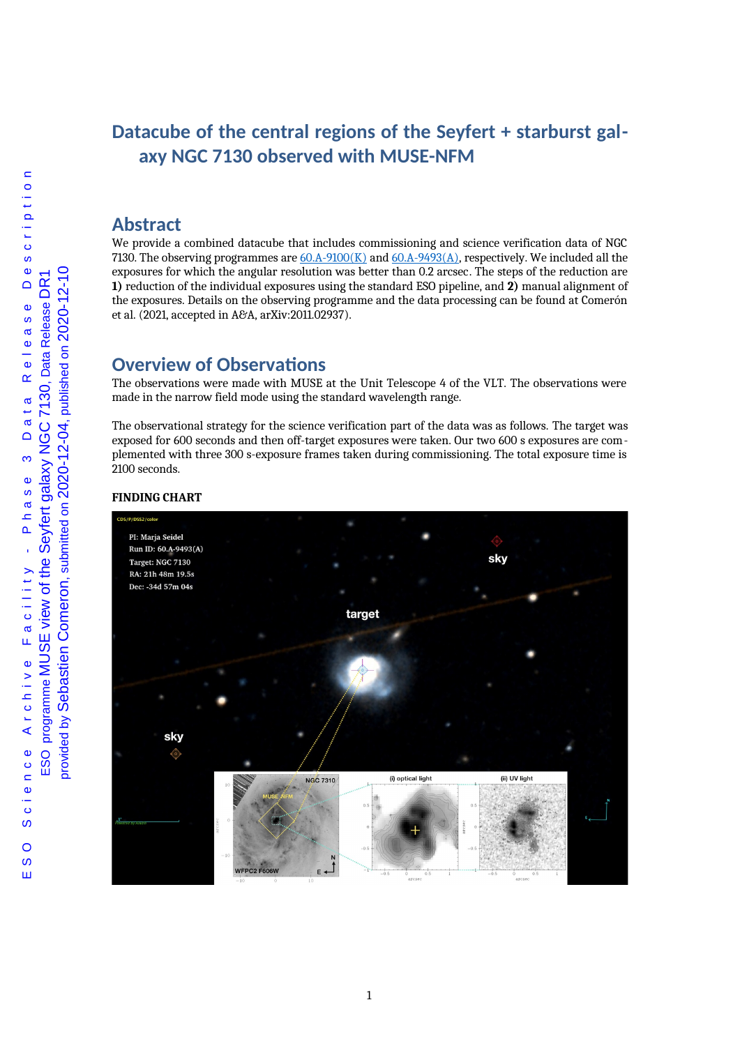# **Datacube of the central regions of the Seyfert + starburst galaxy NGC 7130 observed with MUSE-NFM**

### **Abstract**

We provide a combined datacube that includes commissioning and science verification data of NGC 7130. The observing programmes are  $60.A-9100(K)$  and  $60.A-9493(A)$ , respectively. We included all the exposures for which the angular resolution was better than 0.2 arcsec. The steps of the reduction are **1)** reduction of the individual exposures using the standard ESO pipeline, and **2)** manual alignment of the exposures. Details on the observing programme and the data processing can be found at Comerón et al. (2021, accepted in A&A, arXiv:2011.02937).

## **Overview of Observations**

The observations were made with MUSE at the Unit Telescope 4 of the VLT. The observations were made in the narrow field mode using the standard wavelength range.

The observational strategy for the science verification part of the data was as follows. The target was exposed for 600 seconds and then off-target exposures were taken. Our two 600 s exposures are complemented with three 300 s-exposure frames taken during commissioning. The total exposure time is 2100 seconds.

#### **FINDING CHART**



provided by Sebastien Comeron, submitted on 2020-12-04, published on 2020-12-10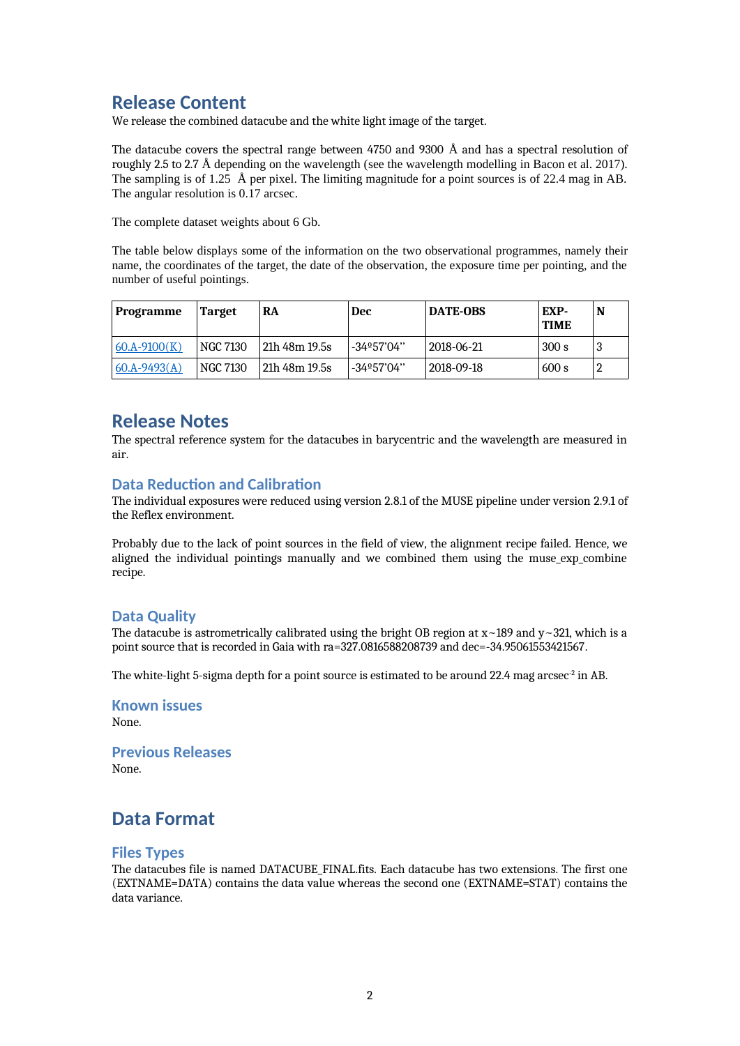## **Release Content**

We release the combined datacube and the white light image of the target.

The datacube covers the spectral range between 4750 and 9300 Å and has a spectral resolution of roughly 2.5 to 2.7 Å depending on the wavelength (see the wavelength modelling in Bacon et al. 2017). The sampling is of 1.25 Å per pixel. The limiting magnitude for a point sources is of 22.4 mag in AB. The angular resolution is 0.17 arcsec.

The complete dataset weights about 6 Gb.

The table below displays some of the information on the two observational programmes, namely their name, the coordinates of the target, the date of the observation, the exposure time per pointing, and the number of useful pointings.

| Programme      | <b>Target</b> | RA            | <b>Dec</b>  | <b>DATE-OBS</b>   | EXP-<br><b>TIME</b> | N |
|----------------|---------------|---------------|-------------|-------------------|---------------------|---|
| $60.A-9100(K)$ | NGC 7130      | 21h 48m 19.5s | -34º57'04'' | 2018-06-21        | 300 s               | 3 |
| $60.A-9493(A)$ | NGC 7130      | 21h 48m 19.5s | -34º57'04'' | $12018 - 09 - 18$ | 600 s               |   |

## **Release Notes**

The spectral reference system for the datacubes in barycentric and the wavelength are measured in air.

### **Data Reduction and Calibration**

The individual exposures were reduced using version 2.8.1 of the MUSE pipeline under version 2.9.1 of the Reflex environment.

Probably due to the lack of point sources in the field of view, the alignment recipe failed. Hence, we aligned the individual pointings manually and we combined them using the muse\_exp\_combine recipe.

### **Data Quality**

The datacube is astrometrically calibrated using the bright OB region at  $x \sim 189$  and  $y \sim 321$ , which is a point source that is recorded in Gaia with ra=327.0816588208739 and dec=-34.95061553421567.

The white-light 5-sigma depth for a point source is estimated to be around 22.4 mag arcsec<sup>-2</sup> in AB.

**Known issues** None.

#### **Previous Releases** None.

# **Data Format**

#### **Files Types**

The datacubes file is named DATACUBE\_FINAL.fits. Each datacube has two extensions. The first one (EXTNAME=DATA) contains the data value whereas the second one (EXTNAME=STAT) contains the data variance.